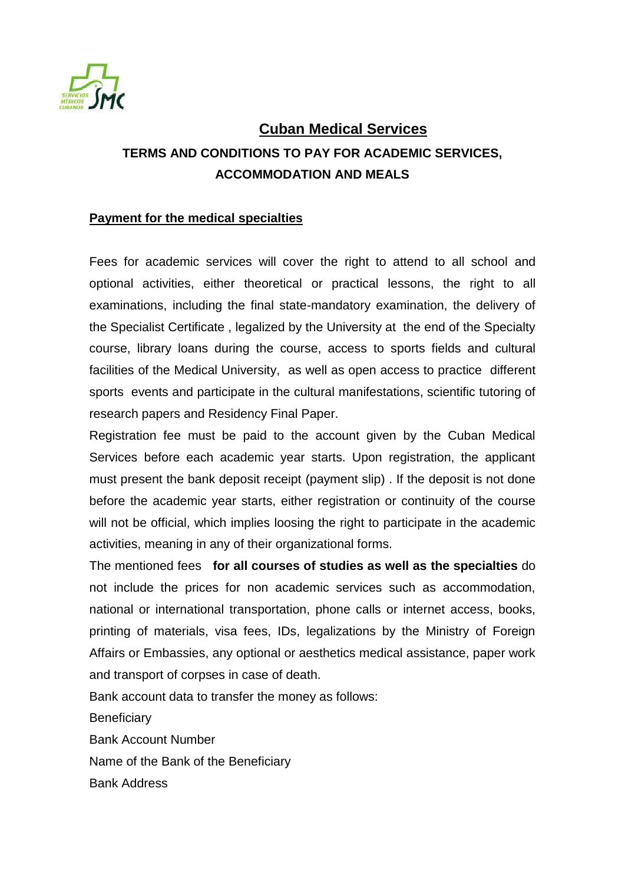

## **Cuban Medical Services**

# **TERMS AND CONDITIONS TO PAY FOR ACADEMIC SERVICES, ACCOMMODATION AND MEALS**

### **Payment for the medical specialties**

Fees for academic services will cover the right to attend to all school and optional activities, either theoretical or practical lessons, the right to all examinations, including the final state-mandatory examination, the delivery of the Specialist Certificate , legalized by the University at the end of the Specialty course, library loans during the course, access to sports fields and cultural facilities of the Medical University, as well as open access to practice different sports events and participate in the cultural manifestations, scientific tutoring of research papers and Residency Final Paper.

Registration fee must be paid to the account given by the Cuban Medical Services before each academic year starts. Upon registration, the applicant must present the bank deposit receipt (payment slip) . If the deposit is not done before the academic year starts, either registration or continuity of the course will not be official, which implies loosing the right to participate in the academic activities, meaning in any of their organizational forms.

The mentioned fees **for all courses of studies as well as the specialties** do not include the prices for non academic services such as accommodation, national or international transportation, phone calls or internet access, books, printing of materials, visa fees, IDs, legalizations by the Ministry of Foreign Affairs or Embassies, any optional or aesthetics medical assistance, paper work and transport of corpses in case of death.

Bank account data to transfer the money as follows:

**Beneficiary** 

Bank Account Number

Name of the Bank of the Beneficiary

Bank Address